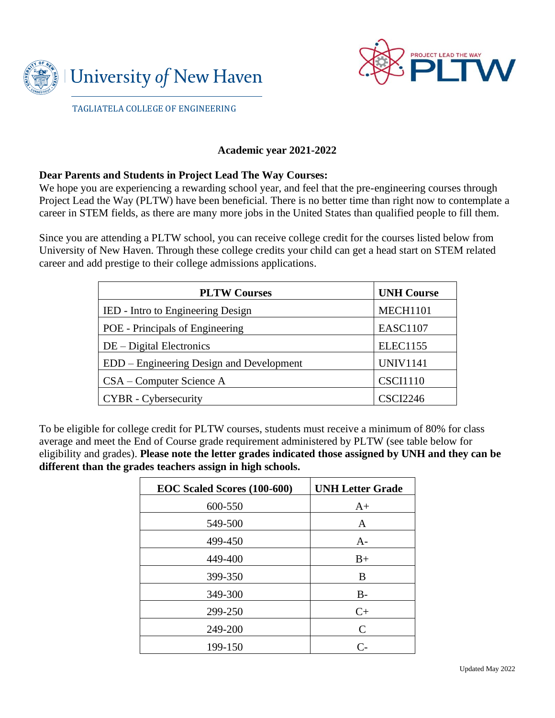



TAGLIATELA COLLEGE OF ENGINEERING

## **Academic year 2021-2022**

## **Dear Parents and Students in Project Lead The Way Courses:**

We hope you are experiencing a rewarding school year, and feel that the pre-engineering courses through Project Lead the Way (PLTW) have been beneficial. There is no better time than right now to contemplate a career in STEM fields, as there are many more jobs in the United States than qualified people to fill them.

Since you are attending a PLTW school, you can receive college credit for the courses listed below from University of New Haven. Through these college credits your child can get a head start on STEM related career and add prestige to their college admissions applications.

| <b>PLTW Courses</b>                      | <b>UNH Course</b> |
|------------------------------------------|-------------------|
| IED - Intro to Engineering Design        | <b>MECH1101</b>   |
| POE - Principals of Engineering          | <b>EASC1107</b>   |
| $DE$ – Digital Electronics               | <b>ELEC1155</b>   |
| EDD – Engineering Design and Development | <b>UNIV1141</b>   |
| CSA – Computer Science A                 | <b>CSCI1110</b>   |
| <b>CYBR</b> - Cybersecurity              | <b>CSCI2246</b>   |

To be eligible for college credit for PLTW courses, students must receive a minimum of 80% for class average and meet the End of Course grade requirement administered by PLTW (see table below for eligibility and grades). **Please note the letter grades indicated those assigned by UNH and they can be different than the grades teachers assign in high schools.**

| EOC Scaled Scores (100-600) | <b>UNH Letter Grade</b> |
|-----------------------------|-------------------------|
| 600-550                     | $A+$                    |
| 549-500                     | A                       |
| 499-450                     | $A-$                    |
| 449-400                     | $B+$                    |
| 399-350                     | В                       |
| 349-300                     | $B-$                    |
| 299-250                     | $C+$                    |
| 249-200                     | $\mathsf{C}$            |
| 199-150                     | $\mathsf{C}\text{-}$    |